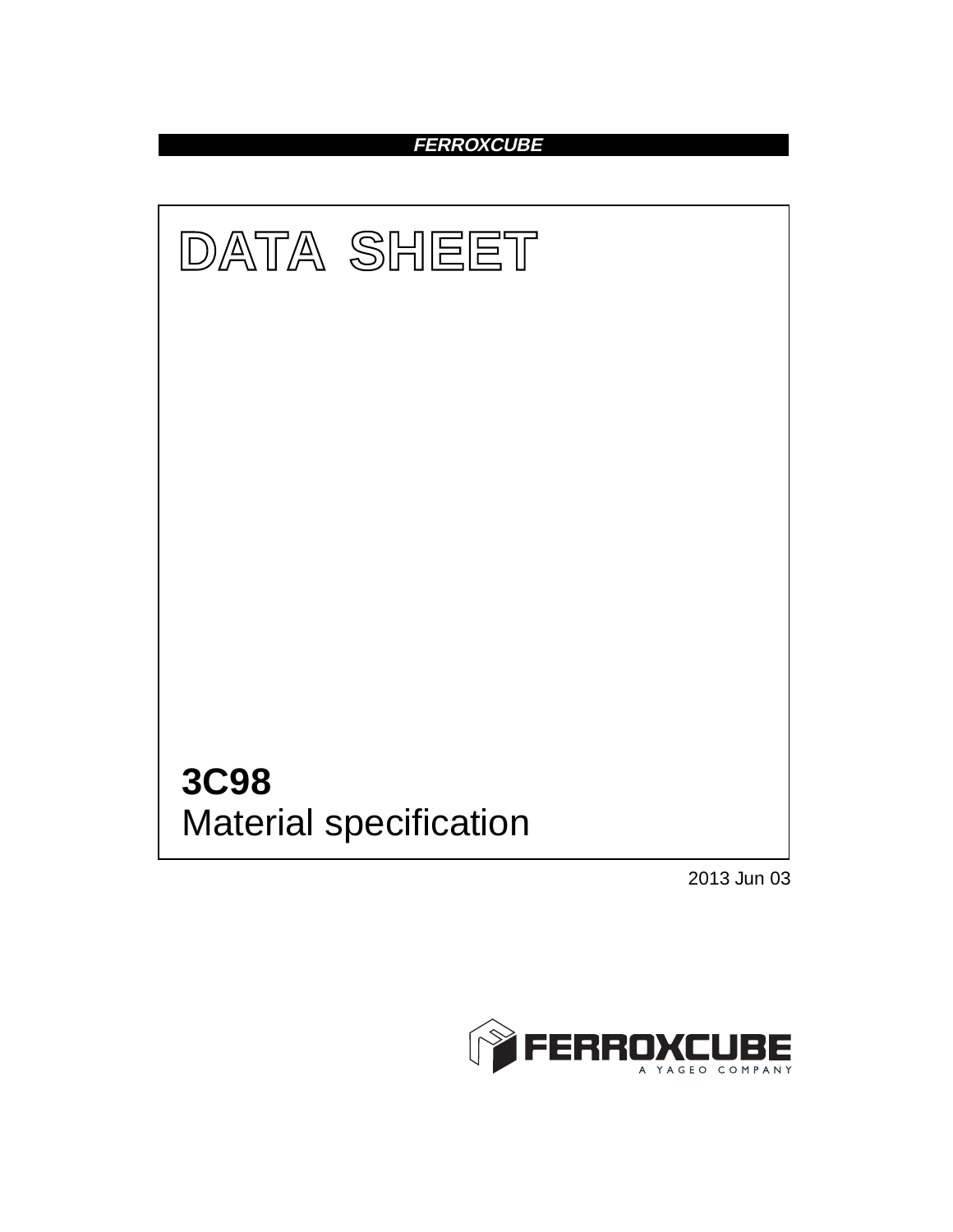### **FERROXCUBE**



2013 Jun 03

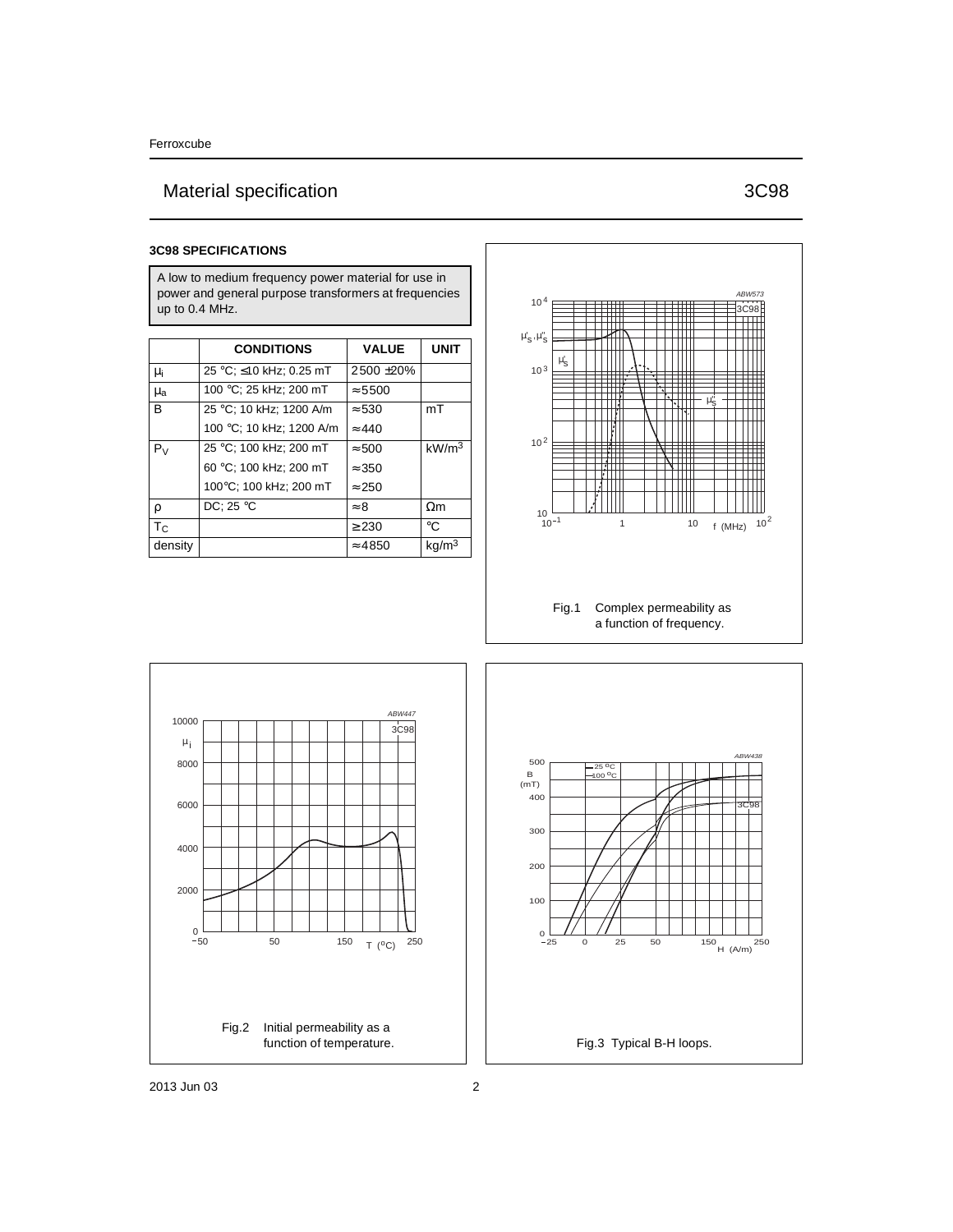# Material specification 3C98

### **3C98 SPECIFICATIONS**

A low to medium frequency power material for use in power and general purpose transformers at frequencies up to 0.4 MHz.

|           | <b>CONDITIONS</b>        | <b>VALUE</b>   | <b>UNIT</b>       |
|-----------|--------------------------|----------------|-------------------|
| $\mu_i$   | 25 °C; ≤10 kHz; 0.25 mT  | 2500 ±20%      |                   |
| $\mu_{a}$ | 100 °C; 25 kHz; 200 mT   | $\approx 5500$ |                   |
| B         | 25 °C; 10 kHz; 1200 A/m  | $\approx 530$  | mT                |
|           | 100 °C; 10 kHz; 1200 A/m | $\approx 440$  |                   |
| $P_V$     | 25 °C; 100 kHz; 200 mT   | $\approx 500$  | kW/m <sup>3</sup> |
|           | 60 °C; 100 kHz; 200 mT   | $\approx 350$  |                   |
|           | 100°C; 100 kHz; 200 mT   | $\approx 250$  |                   |
| ρ         | DC; 25 °C                | $\approx 8$    | $\Omega$ m        |
| $T_{C}$   |                          | > 230          | °C                |
| density   |                          | $\approx 4850$ | kg/m <sup>3</sup> |



a function of frequency.



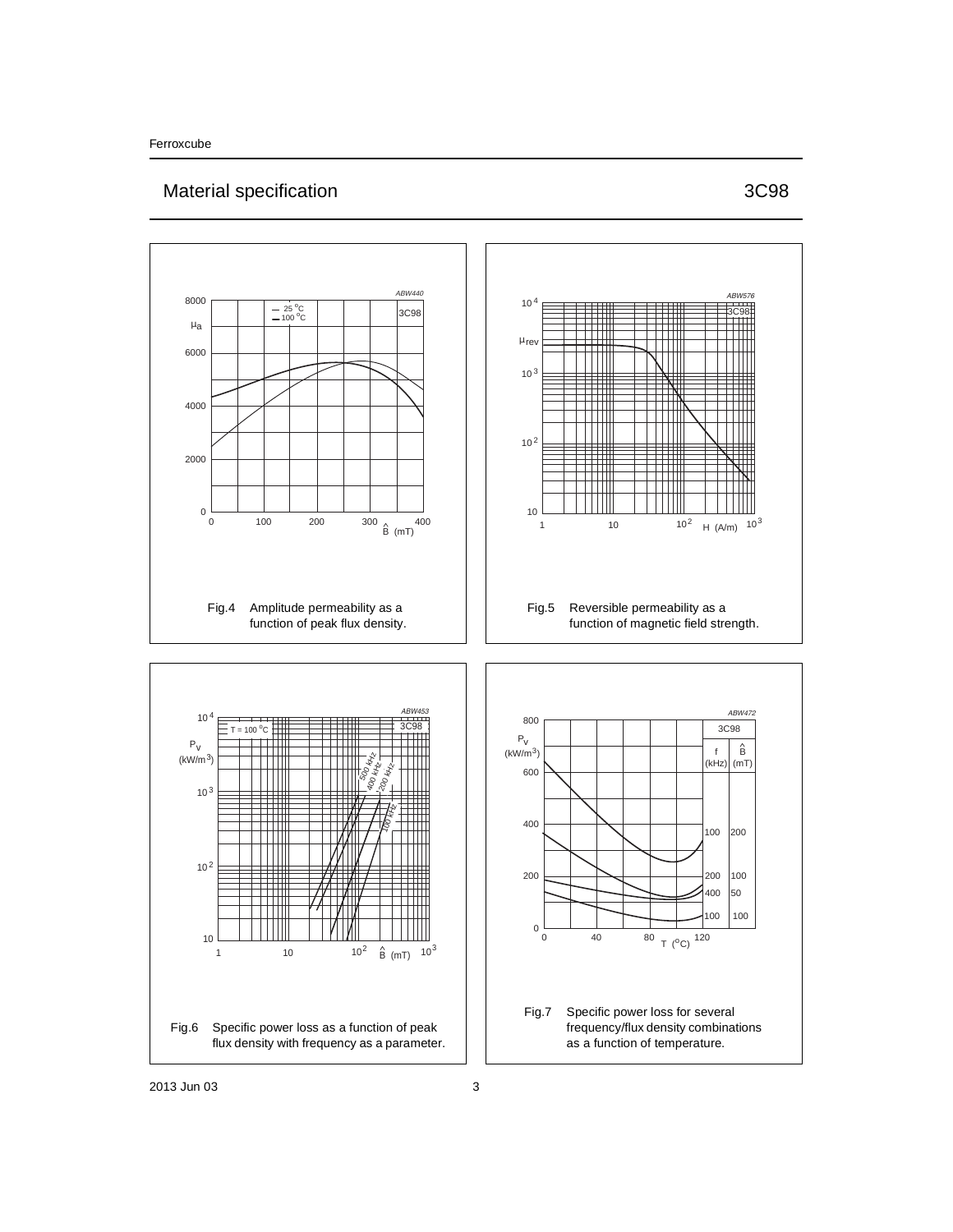## Material specification 3C98